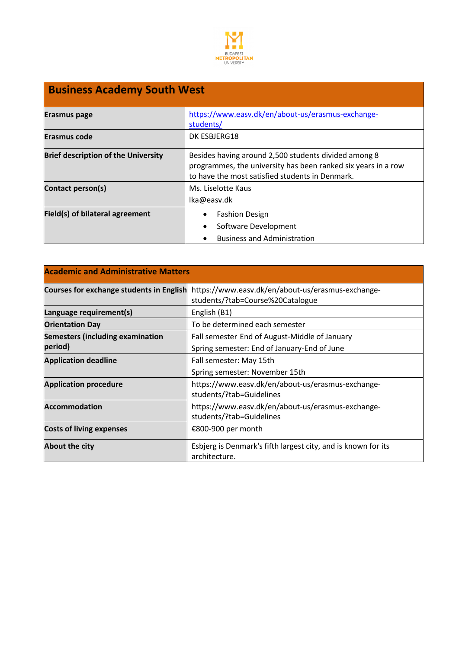

| <b>Business Academy South West</b>         |                                                                                                                                                                          |  |
|--------------------------------------------|--------------------------------------------------------------------------------------------------------------------------------------------------------------------------|--|
| Erasmus page                               | https://www.easv.dk/en/about-us/erasmus-exchange-<br>students/                                                                                                           |  |
| Erasmus code                               | DK ESBJERG18                                                                                                                                                             |  |
| <b>Brief description of the University</b> | Besides having around 2,500 students divided among 8<br>programmes, the university has been ranked six years in a row<br>to have the most satisfied students in Denmark. |  |
| Contact person(s)                          | Ms. Liselotte Kaus<br>lka@easv.dk                                                                                                                                        |  |
| Field(s) of bilateral agreement            | <b>Fashion Design</b><br>Software Development<br>٠<br><b>Business and Administration</b>                                                                                 |  |

| <b>Academic and Administrative Matters</b>      |                                                                                       |  |
|-------------------------------------------------|---------------------------------------------------------------------------------------|--|
| <b>Courses for exchange students in English</b> | https://www.easv.dk/en/about-us/erasmus-exchange-<br>students/?tab=Course%20Catalogue |  |
| Language requirement(s)                         | English (B1)                                                                          |  |
| <b>Orientation Day</b>                          | To be determined each semester                                                        |  |
| <b>Semesters (including examination</b>         | Fall semester End of August-Middle of January                                         |  |
| period)                                         | Spring semester: End of January-End of June                                           |  |
| <b>Application deadline</b>                     | Fall semester: May 15th                                                               |  |
|                                                 | Spring semester: November 15th                                                        |  |
| <b>Application procedure</b>                    | https://www.easv.dk/en/about-us/erasmus-exchange-                                     |  |
|                                                 | students/?tab=Guidelines                                                              |  |
| <b>Accommodation</b>                            | https://www.easv.dk/en/about-us/erasmus-exchange-<br>students/?tab=Guidelines         |  |
| <b>Costs of living expenses</b>                 | €800-900 per month                                                                    |  |
| About the city                                  | Esbjerg is Denmark's fifth largest city, and is known for its<br>architecture.        |  |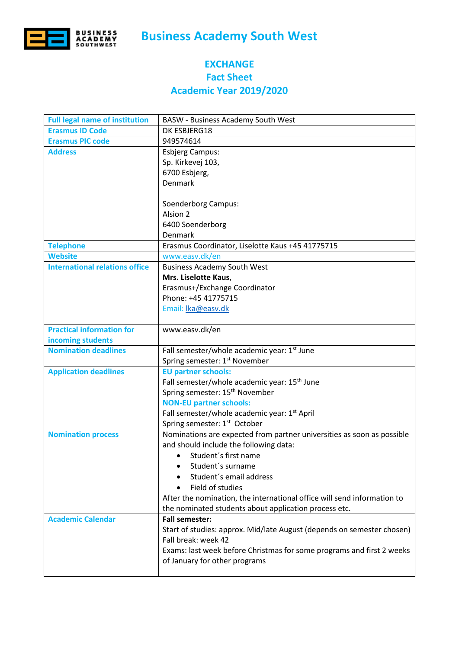

## **Business Academy South West**

## **EXCHANGE Fact Sheet Academic Year 2019/2020**

| <b>Full legal name of institution</b> | <b>BASW</b> - Business Academy South West                               |
|---------------------------------------|-------------------------------------------------------------------------|
| <b>Erasmus ID Code</b>                | DK ESBJERG18                                                            |
| <b>Erasmus PIC code</b>               | 949574614                                                               |
| <b>Address</b>                        | <b>Esbjerg Campus:</b>                                                  |
|                                       | Sp. Kirkevej 103,                                                       |
|                                       | 6700 Esbjerg,                                                           |
|                                       | <b>Denmark</b>                                                          |
|                                       |                                                                         |
|                                       | Soenderborg Campus:                                                     |
|                                       | Alsion 2                                                                |
|                                       | 6400 Soenderborg                                                        |
|                                       | Denmark                                                                 |
| <b>Telephone</b>                      | Erasmus Coordinator, Liselotte Kaus +45 41775715                        |
| <b>Website</b>                        | www.easv.dk/en                                                          |
| <b>International relations office</b> | <b>Business Academy South West</b>                                      |
|                                       | Mrs. Liselotte Kaus,                                                    |
|                                       | Erasmus+/Exchange Coordinator                                           |
|                                       | Phone: +45 41775715                                                     |
|                                       | Email: Ika@easv.dk                                                      |
|                                       |                                                                         |
| <b>Practical information for</b>      | www.easv.dk/en                                                          |
| incoming students                     |                                                                         |
| <b>Nomination deadlines</b>           | Fall semester/whole academic year: 1 <sup>st</sup> June                 |
|                                       | Spring semester: 1st November                                           |
| <b>Application deadlines</b>          | <b>EU partner schools:</b>                                              |
|                                       | Fall semester/whole academic year: 15 <sup>th</sup> June                |
|                                       | Spring semester: 15 <sup>th</sup> November                              |
|                                       | <b>NON-EU partner schools:</b>                                          |
|                                       | Fall semester/whole academic year: 1st April                            |
|                                       | Spring semester: 1st October                                            |
| <b>Nomination process</b>             | Nominations are expected from partner universities as soon as possible  |
|                                       | and should include the following data:                                  |
|                                       | Student's first name<br>$\bullet$                                       |
|                                       | Student's surname                                                       |
|                                       | Student's email address                                                 |
|                                       | Field of studies                                                        |
|                                       | After the nomination, the international office will send information to |
|                                       | the nominated students about application process etc.                   |
| <b>Academic Calendar</b>              | <b>Fall semester:</b>                                                   |
|                                       | Start of studies: approx. Mid/late August (depends on semester chosen)  |
|                                       | Fall break: week 42                                                     |
|                                       | Exams: last week before Christmas for some programs and first 2 weeks   |
|                                       |                                                                         |
|                                       | of January for other programs                                           |